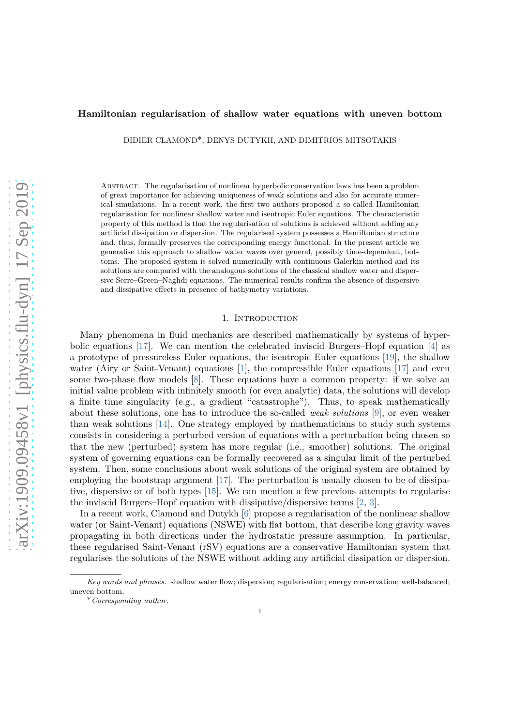## <span id="page-0-0"></span>**Hamiltonian regularisation of shallow water equations with uneven bottom**

DIDIER CLAMOND˚ , DENYS DUTYKH, AND DIMITRIOS MITSOTAKIS

Abstract. The regularisation of nonlinear hyperbolic conservation laws has been a problem of great importance for achieving uniqueness of weak solutions and also for accurate numerical simulations. In a recent work, the first two authors proposed a so-called Hamiltonian regularisation for nonlinear shallow water and isentropic Euler equations. The characteristic property of this method is that the regularisation of solutions is achieved without adding any artificial dissipation or dispersion. The regularised system possesses a Hamiltonian structure and, thus, formally preserves the corresponding energy functional. In the present article we generalise this approach to shallow water waves over general, possibly time-dependent, bottoms. The proposed system is solved numerically with continuous Galerkin method and its solutions are compared with the analogous solutions of the classical shallow water and dispersive Serre–Green–Naghdi equations. The numerical results confirm the absence of dispersive and dissipative effects in presence of bathymetry variations.

#### 1. Introduction

Many phenomena in fluid mechanics are described mathematically by systems of hyperbolic equations [\[17\]](#page-9-0). We can mention the celebrated inviscid Burgers–Hopf equation [\[4\]](#page-8-0) as a prototype of pressureless Euler equations, the isentropic Euler equations [\[19](#page-9-1)], the shallow water (Airy or Saint-Venant) equations [\[1\]](#page-8-1), the compressible Euler equations [\[17](#page-9-0)] and even some two-phase flow models [\[8](#page-9-2)]. These equations have a common property: if we solve an initial value problem with infinitely smooth (or even analytic) data, the solutions will develop a finite time singularity (e.g., a gradient "catastrophe"). Thus, to speak mathematically about these solutions, one has to introduce the so-called *weak solutions* [\[9\]](#page-9-3), or even weaker than weak solutions [\[14](#page-9-4)]. One strategy employed by mathematicians to study such systems consists in considering a perturbed version of equations with a perturbation being chosen so that the new (perturbed) system has more regular (i.e., smoother) solutions. The original system of governing equations can be formally recovered as a singular limit of the perturbed system. Then, some conclusions about weak solutions of the original system are obtained by employing the bootstrap argument [\[17](#page-9-0)]. The perturbation is usually chosen to be of dissipative, dispersive or of both types [\[15\]](#page-9-5). We can mention a few previous attempts to regularise the inviscid Burgers–Hopf equation with dissipative/dispersive terms [\[2](#page-8-2), [3](#page-8-3)].

In a recent work, Clamond and Dutykh [\[6](#page-9-6)] propose a regularisation of the nonlinear shallow water (or Saint-Venant) equations (NSWE) with flat bottom, that describe long gravity waves propagating in both directions under the hydrostatic pressure assumption. In particular, these regularised Saint-Venant (rSV) equations are a conservative Hamiltonian system that regularises the solutions of the NSWE without adding any artificial dissipation or dispersion.

Key words and phrases. shallow water flow; dispersion; regularisation; energy conservation; well-balanced; uneven bottom.

<sup>˚</sup>*Corresponding author.*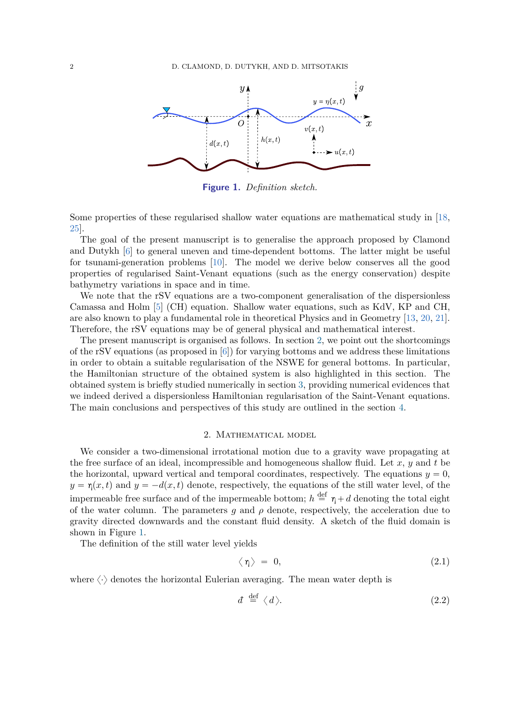<span id="page-1-2"></span><span id="page-1-1"></span>

**Figure 1.** *Definition sketch.*

Some properties of these regularised shallow water equations are mathematical study in [\[18](#page-9-7), [25\]](#page-9-8).

The goal of the present manuscript is to generalise the approach proposed by Clamond and Dutykh [\[6\]](#page-9-6) to general uneven and time-dependent bottoms. The latter might be useful for tsunami-generation problems [\[10](#page-9-9)]. The model we derive below conserves all the good properties of regularised Saint-Venant equations (such as the energy conservation) despite bathymetry variations in space and in time.

We note that the rSV equations are a two-component generalisation of the dispersionless Camassa and Holm [\[5](#page-8-4)] (CH) equation. Shallow water equations, such as KdV, KP and CH, are also known to play a fundamental role in theoretical Physics and in Geometry [\[13,](#page-9-10) [20,](#page-9-11) [21\]](#page-9-12). Therefore, the rSV equations may be of general physical and mathematical interest.

The present manuscript is organised as follows. In section [2,](#page-1-0) we point out the shortcomings of the rSV equations (as proposed in [\[6](#page-9-6)]) for varying bottoms and we address these limitations in order to obtain a suitable regularisation of the NSWE for general bottoms. In particular, the Hamiltonian structure of the obtained system is also highlighted in this section. The obtained system is briefly studied numerically in section [3,](#page-5-0) providing numerical evidences that we indeed derived a dispersionless Hamiltonian regularisation of the Saint-Venant equations. The main conclusions and perspectives of this study are outlined in the section [4.](#page-8-5)

#### 2. Mathematical model

<span id="page-1-0"></span>We consider a two-dimensional irrotational motion due to a gravity wave propagating at the free surface of an ideal, incompressible and homogeneous shallow fluid. Let *x*, *y* and *t* be the horizontal, upward vertical and temporal coordinates, respectively. The equations  $y = 0$ ,  $y = \eta(x, t)$  and  $y = -d(x, t)$  denote, respectively, the equations of the still water level, of the impermeable free surface and of the impermeable bottom;  $h \stackrel{\text{def}}{=} \eta + d$  denoting the total eight of the water column. The parameters  $q$  and  $\rho$  denote, respectively, the acceleration due to gravity directed downwards and the constant fluid density. A sketch of the fluid domain is shown in Figure [1.](#page-1-1)

The definition of the still water level yields

$$
\langle \eta \rangle = 0, \tag{2.1}
$$

where  $\langle \cdot \rangle$  denotes the horizontal Eulerian averaging. The mean water depth is

$$
d \stackrel{\text{def}}{=} \langle d \rangle. \tag{2.2}
$$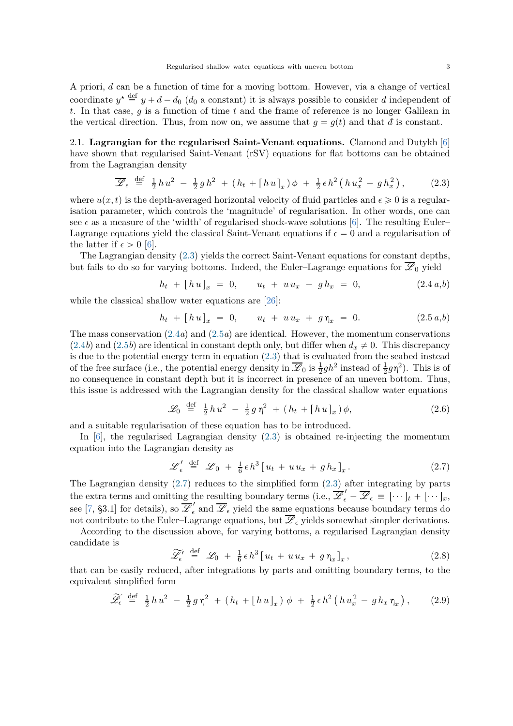<span id="page-2-6"></span>A priori,  $d$  can be a function of time for a moving bottom. However, via a change of vertical coordinate  $y^* \stackrel{\text{def}}{=} y + d - d_0$  ( $d_0$  a constant) it is always possible to consider *d* independent of *t*. In that case, *g* is a function of time *t* and the frame of reference is no longer Galilean in the vertical direction. Thus, from now on, we assume that  $g = g(t)$  and that  $d$  is constant.

2.1. **Lagrangian for the regularised Saint-Venant equations.** Clamond and Dutykh [\[6](#page-9-6)] have shown that regularised Saint-Venant (rSV) equations for flat bottoms can be obtained from the Lagrangian density

<span id="page-2-0"></span>
$$
\overline{\mathscr{L}}_{\epsilon} \stackrel{\text{def}}{=} \frac{1}{2} h u^2 - \frac{1}{2} g h^2 + (h_t + [hu]_x) \phi + \frac{1}{2} \epsilon h^2 (h u_x^2 - g h_x^2), \qquad (2.3)
$$

where  $u(x, t)$  is the depth-averaged horizontal velocity of fluid particles and  $\epsilon \geq 0$  is a regularisation parameter, which controls the 'magnitude' of regularisation. In other words, one can see  $\epsilon$  as a measure of the 'width' of regularised shock-wave solutions [\[6\]](#page-9-6). The resulting Euler– Lagrange equations yield the classical Saint-Venant equations if  $\epsilon = 0$  and a regularisation of the latter if  $\epsilon > 0$  [\[6](#page-9-6)].

The Lagrangian density [\(2.3\)](#page-2-0) yields the correct Saint-Venant equations for constant depths, but fails to do so for varying bottoms. Indeed, the Euler–Lagrange equations for  $\overline{\mathscr{L}}_0$  yield

<span id="page-2-2"></span><span id="page-2-1"></span>
$$
h_t + [hu]_x = 0, \t u_t + uu_x + gh_x = 0,
$$
\t(2.4 a,b)

while the classical shallow water equations are [\[26\]](#page-10-0):

$$
h_t + [hu]_x = 0, \qquad u_t + uu_x + g\eta_x = 0. \tag{2.5 a,b}
$$

The mass conservation [\(2.4](#page-2-1)*a*) and [\(2.5](#page-2-2)*a*) are identical. However, the momentum conservations  $(2.4b)$  $(2.4b)$  and  $(2.5b)$  are identical in constant depth only, but differ when  $d_x \neq 0$ . This discrepancy is due to the potential energy term in equation [\(2.3\)](#page-2-0) that is evaluated from the seabed instead of the free surface (i.e., the potential energy density in  $\overline{\mathscr{L}}_0$  is  $\frac{1}{2}gh^2$  instead of  $\frac{1}{2}g\eta^2$ ). This is of no consequence in constant depth but it is incorrect in presence of an uneven bottom. Thus, this issue is addressed with the Lagrangian density for the classical shallow water equations

$$
\mathscr{L}_0 \stackrel{\text{def}}{=} \frac{1}{2} h u^2 - \frac{1}{2} g \eta^2 + (h_t + [h u]_x) \phi, \tag{2.6}
$$

and a suitable regularisation of these equation has to be introduced.

In  $[6]$ , the regularised Lagrangian density  $(2.3)$  is obtained re-injecting the momentum equation into the Lagrangian density as

<span id="page-2-3"></span>
$$
\overline{\mathscr{L}}'_{\epsilon} \stackrel{\text{def}}{=} \overline{\mathscr{L}}_0 + \frac{1}{6} \epsilon h^3 \big[ u_t + u u_x + g h_x \big]_x. \tag{2.7}
$$

The Lagrangian density  $(2.7)$  reduces to the simplified form  $(2.3)$  after integrating by parts the extra terms and omitting the resulting boundary terms (i.e.,  $\overline{\mathscr{L}}'_{\epsilon} - \overline{\mathscr{L}}_{\epsilon} = [\cdots]_t + [\cdots]_x$ , see [\[7,](#page-9-13) §3.1] for details), so  $\overline{\mathscr{L}}'_{\epsilon}$  $\overline{\mathscr{L}}_{\epsilon}$  and  $\overline{\mathscr{L}}_{\epsilon}$  yield the same equations because boundary terms do not contribute to the Euler–Lagrange equations, but  $\overline{\mathscr{L}}_{\epsilon}$  yields somewhat simpler derivations.

According to the discussion above, for varying bottoms, a regularised Lagrangian density candidate is

<span id="page-2-4"></span>
$$
\widetilde{\mathscr{L}}_{\epsilon}' \stackrel{\text{def}}{=} \mathscr{L}_0 + \frac{1}{6} \epsilon h^3 \left[ u_t + u u_x + g \eta_x \right]_x, \tag{2.8}
$$

that can be easily reduced, after integrations by parts and omitting boundary terms, to the equivalent simplified form

<span id="page-2-5"></span>
$$
\widetilde{\mathscr{L}}_{\epsilon} \stackrel{\text{def}}{=} \frac{1}{2} h u^2 - \frac{1}{2} g \eta^2 + (h_t + [h u]_x) \phi + \frac{1}{2} \epsilon h^2 (h u_x^2 - g h_x \eta_x), \qquad (2.9)
$$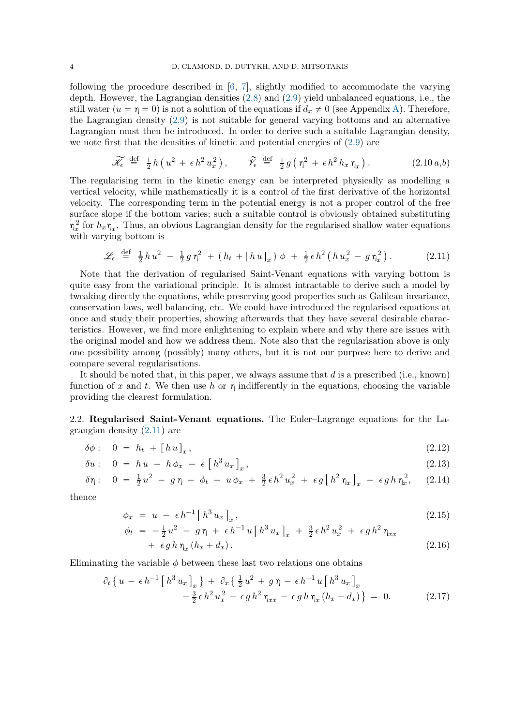<span id="page-3-3"></span>following the procedure described in  $[6, 7]$  $[6, 7]$ , slightly modified to accommodate the varying depth. However, the Lagrangian densities [\(2.8\)](#page-2-4) and [\(2.9\)](#page-2-5) yield unbalanced equations, i.e., the still water  $(u = \eta = 0)$  is not a solution of the equations if  $d_x \neq 0$  (see Appendix [A\)](#page-8-6). Therefore, the Lagrangian density [\(2.9\)](#page-2-5) is not suitable for general varying bottoms and an alternative Lagrangian must then be introduced. In order to derive such a suitable Lagrangian density, we note first that the densities of kinetic and potential energies of [\(2.9\)](#page-2-5) are

$$
\widetilde{\mathscr{K}_{\epsilon}} \stackrel{\text{def}}{=} \frac{1}{2} h \left( u^2 + \epsilon h^2 u_x^2 \right), \qquad \widetilde{\mathscr{V}}_{\epsilon} \stackrel{\text{def}}{=} \frac{1}{2} g \left( \eta^2 + \epsilon h^2 h_x \eta_x \right). \tag{2.10 a,b}
$$

The regularising term in the kinetic energy can be interpreted physically as modelling a vertical velocity, while mathematically it is a control of the first derivative of the horizontal velocity. The corresponding term in the potential energy is not a proper control of the free surface slope if the bottom varies; such a suitable control is obviously obtained substituting  $\eta_x^2$  for  $h_x \eta_x$ . Thus, an obvious Lagrangian density for the regularised shallow water equations with varying bottom is

<span id="page-3-0"></span>
$$
\mathscr{L}_{\epsilon} \stackrel{\text{def}}{=} \frac{1}{2} h u^2 - \frac{1}{2} g \eta^2 + (h_t + [h u]_x) \phi + \frac{1}{2} \epsilon h^2 (h u_x^2 - g \eta_x^2). \tag{2.11}
$$

Note that the derivation of regularised Saint-Venant equations with varying bottom is quite easy from the variational principle. It is almost intractable to derive such a model by tweaking directly the equations, while preserving good properties such as Galilean invariance, conservation laws, well balancing, etc. We could have introduced the regularised equations at once and study their properties, showing afterwards that they have several desirable characteristics. However, we find more enlightening to explain where and why there are issues with the original model and how we address them. Note also that the regularisation above is only one possibility among (possibly) many others, but it is not our purpose here to derive and compare several regularisations.

It should be noted that, in this paper, we always assume that *d* is a prescribed (i.e., known) function of x and t. We then use h or  $\eta$  indifferently in the equations, choosing the variable providing the clearest formulation.

2.2. **Regularised Saint-Venant equations.** The Euler–Lagrange equations for the Lagrangian density [\(2.11\)](#page-3-0) are

$$
\delta\phi: \quad 0 \ = \ h_t \ + \left[\,h\,u\,\right]_x,\tag{2.12}
$$

$$
\delta u: \quad 0 \ = \ h \, u \ - \ h \, \phi_x \ - \ \epsilon \left[ \left[ h^3 \, u_x \right]_x, \right] \tag{2.13}
$$

$$
\delta \eta: \quad 0 \; = \; \frac{1}{2} u^2 \; - \; g \; \eta \; - \; \phi_t \; - \; u \; \phi_x \; + \; \frac{3}{2} \, \epsilon \, h^2 \, u_x^2 \; + \; \epsilon \, g \left[ \, h^2 \, \eta_x \, \right]_x \; - \; \epsilon \, g \, h \; \eta_x^2, \tag{2.14}
$$

thence

<span id="page-3-1"></span>
$$
\phi_x = u - \epsilon h^{-1} \left[ h^3 u_x \right]_x, \tag{2.15}
$$

<span id="page-3-2"></span>
$$
\phi_t = -\frac{1}{2}u^2 - g\eta + \epsilon h^{-1}u[h^3 u_x]_x + \frac{3}{2}\epsilon h^2 u_x^2 + \epsilon g h^2 \eta_{xx} \n+ \epsilon g h \eta_x (h_x + d_x).
$$
\n(2.16)

Eliminating the variable  $\phi$  between these last two relations one obtains

$$
\partial_t \left\{ u - \epsilon h^{-1} \left[ h^3 u_x \right]_x \right\} + \partial_x \left\{ \frac{1}{2} u^2 + g \eta - \epsilon h^{-1} u \left[ h^3 u_x \right]_x - \frac{3}{2} \epsilon h^2 u_x^2 - \epsilon g h^2 \eta_{xx} - \epsilon g h \eta_x (h_x + d_x) \right\} = 0. \tag{2.17}
$$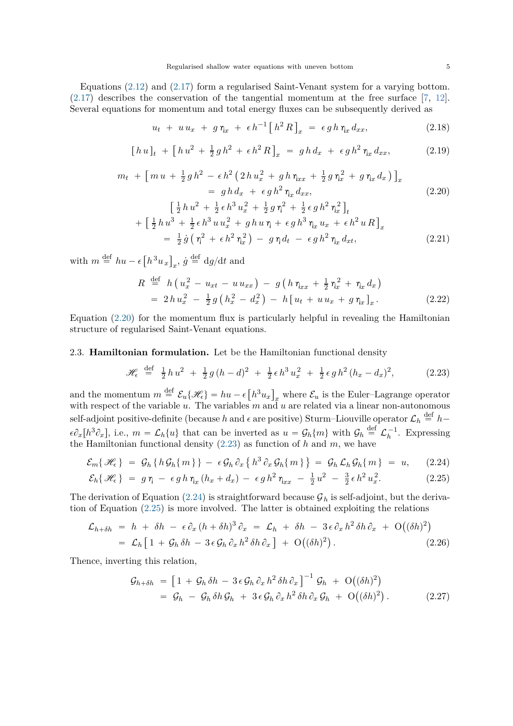<span id="page-4-4"></span>Equations [\(2.12\)](#page-3-1) and [\(2.17\)](#page-3-2) form a regularised Saint-Venant system for a varying bottom. [\(2.17\)](#page-3-2) describes the conservation of the tangential momentum at the free surface [\[7,](#page-9-13) [12\]](#page-9-14). Several equations for momentum and total energy fluxes can be subsequently derived as

$$
u_t + u u_x + g \eta_x + \epsilon h^{-1} \left[ h^2 R \right]_x = \epsilon g h \eta_x dx_x, \qquad (2.18)
$$

$$
[hu]_t + [hu^2 + \frac{1}{2}gh^2 + \epsilon h^2 R]_x = gh d_x + \epsilon gh^2 \eta_x dx_x,
$$
 (2.19)

$$
m_{t} + \left[m u + \frac{1}{2}gh^{2} - \epsilon h^{2} \left(2 h u_{x}^{2} + g h \eta_{xx} + \frac{1}{2} g \eta_{x}^{2} + g \eta_{x} d_{x}\right)\right]_{x}
$$
  
\n
$$
= gh d_{x} + \epsilon g h^{2} \eta_{x} d_{xx},
$$
  
\n
$$
\left[\frac{1}{2} h u^{2} + \frac{1}{2} \epsilon h^{3} u_{x}^{2} + \frac{1}{2} g \eta^{2} + \frac{1}{2} \epsilon g h^{2} \eta_{x}^{2}\right]_{t}
$$
  
\n
$$
+ \left[\frac{1}{2} h u^{3} + \frac{1}{2} \epsilon h^{3} u u_{x}^{2} + g h u \eta + \epsilon g h^{3} \eta_{x} u_{x} + \epsilon h^{2} u R\right]_{x}
$$
  
\n(2.20)

<span id="page-4-0"></span>
$$
= \frac{1}{2}\dot{g}\left(\eta^2 + \epsilon h^2 \eta_x^2\right) - g \eta d_t - \epsilon g h^2 \eta_x d_{xt}, \qquad (2.21)
$$

with  $m \stackrel{\text{def}}{=} hu - \epsilon \left[ h^3 u_x \right]_x$ ,  $\dot{g} \stackrel{\text{def}}{=} dg/dt$  and

$$
R \stackrel{\text{def}}{=} h\left(u_x^2 - u_{xt} - u_{xx}\right) - g\left(h\eta_{xx} + \frac{1}{2}\eta_x^2 + \eta_x d_x\right) = 2hu_x^2 - \frac{1}{2}g\left(h_x^2 - d_x^2\right) - h\left[u_t + u_{xx} + g\eta_x\right]_x.
$$
 (2.22)

Equation  $(2.20)$  for the momentum flux is particularly helpful in revealing the Hamiltonian structure of regularised Saint-Venant equations.

## 2.3. **Hamiltonian formulation.** Let be the Hamiltonian functional density

<span id="page-4-2"></span><span id="page-4-1"></span>
$$
\mathcal{H}_{\epsilon} \stackrel{\text{def}}{=} \frac{1}{2} h u^2 + \frac{1}{2} g (h - d)^2 + \frac{1}{2} \epsilon h^3 u_x^2 + \frac{1}{2} \epsilon g h^2 (h_x - d_x)^2, \tag{2.23}
$$

and the momentum  $m \stackrel{\text{def}}{=} \mathcal{E}_u\{\mathscr{H}_\epsilon\} = hu - \epsilon \left[h^3u_x\right]_x$  where  $\mathcal{E}_u$  is the Euler–Lagrange operator with respect of the variable *u*. The variables *m* and *u* are related via a linear non-autonomous self-adjoint positive-definite (because *h* and  $\epsilon$  are positive) Sturm–Liouville operator  $\mathcal{L}_h \stackrel{\text{def}}{=} h \epsilon \partial_x[h^3 \partial_x],$  i.e.,  $m = \mathcal{L}_h\{u\}$  that can be inverted as  $u = \mathcal{G}_h\{m\}$  with  $\mathcal{G}_h \stackrel{\text{def}}{=} \mathcal{L}_h^{-1}$ . Expressing the Hamiltonian functional density [\(2.23\)](#page-4-1) as function of *h* and *m*, we have

$$
\mathcal{E}_m\{\mathscr{H}_{\epsilon}\} = \mathcal{G}_h\{h\mathcal{G}_h\{m\}\} - \epsilon \mathcal{G}_h\partial_x\{h^3\partial_x\mathcal{G}_h\{m\}\} = \mathcal{G}_h\mathcal{L}_h\mathcal{G}_h\{m\} = u, \quad (2.24)
$$

$$
\mathcal{E}_h\{\mathscr{H}_{\epsilon}\} = g\,\eta - \epsilon g\,h\,\eta_x\,(h_x + d_x) - \epsilon g\,h^2\,\eta_{xx} - \frac{1}{2}\,u^2 - \frac{3}{2}\,\epsilon\,h^2\,u_x^2. \tag{2.25}
$$

The derivation of Equation [\(2.24\)](#page-4-2) is straightforward because  $\mathcal{G}_h$  is self-adjoint, but the derivation of Equation [\(2.25\)](#page-4-3) is more involved. The latter is obtained exploiting the relations

$$
\mathcal{L}_{h+\delta h} = h + \delta h - \epsilon \partial_x (h + \delta h)^3 \partial_x = \mathcal{L}_h + \delta h - 3 \epsilon \partial_x h^2 \delta h \partial_x + \mathcal{O}((\delta h)^2)
$$
  
=  $\mathcal{L}_h [1 + \mathcal{G}_h \delta h - 3 \epsilon \mathcal{G}_h \partial_x h^2 \delta h \partial_x] + \mathcal{O}((\delta h)^2).$  (2.26)

Thence, inverting this relation,

<span id="page-4-3"></span>
$$
\mathcal{G}_{h+\delta h} = \left[1 + \mathcal{G}_h \,\delta h - 3\,\epsilon \,\mathcal{G}_h \,\partial_x \,h^2 \,\delta h \,\partial_x\,\right]^{-1} \mathcal{G}_h + \mathcal{O}\big((\delta h)^2\big) \n= \mathcal{G}_h - \mathcal{G}_h \,\delta h \,\mathcal{G}_h + 3\,\epsilon \,\mathcal{G}_h \,\partial_x \,h^2 \,\delta h \,\partial_x \,\mathcal{G}_h + \mathcal{O}\big((\delta h)^2\big).
$$
\n(2.27)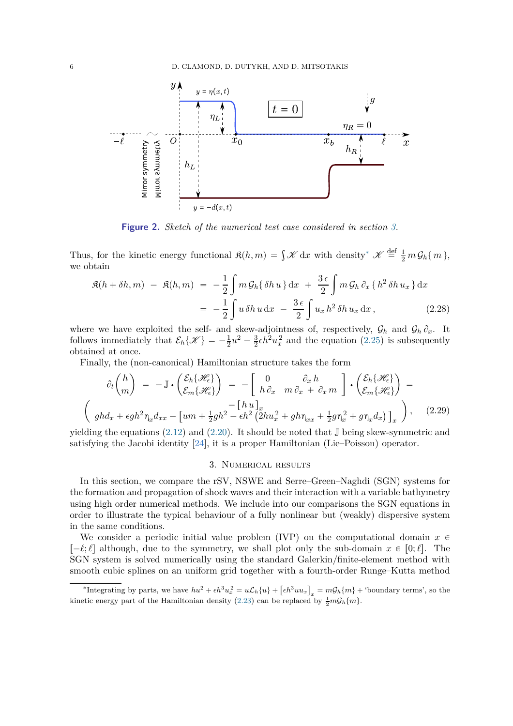<span id="page-5-3"></span><span id="page-5-2"></span>

**Figure 2.** *Sketch of the numerical test case considered in section [3.](#page-5-0)*

Thus, for the kinetic energy functional  $\mathfrak{K}(h,m) = \int \mathcal{K} dx$  with density<sup>\*</sup>  $\mathcal{K} \stackrel{\text{def}}{=} \frac{1}{2} m \mathcal{G}_h \{m\},\$ we obtain

$$
\mathfrak{K}(h + \delta h, m) - \mathfrak{K}(h, m) = -\frac{1}{2} \int m \mathcal{G}_h \{\delta h u\} \, \mathrm{d}x + \frac{3\,\epsilon}{2} \int m \mathcal{G}_h \, \partial_x \{h^2 \, \delta h u_x\} \, \mathrm{d}x
$$
\n
$$
= -\frac{1}{2} \int u \, \delta h u \, \mathrm{d}x - \frac{3\,\epsilon}{2} \int u_x \, h^2 \, \delta h u_x \, \mathrm{d}x, \tag{2.28}
$$

where we have exploited the self- and skew-adjointness of, respectively,  $\mathcal{G}_h$  and  $\mathcal{G}_h \partial_x$ . It follows immediately that  $\mathcal{E}_h\{\mathscr{K}\} = -\frac{1}{2}u^2 - \frac{3}{2}$  $\frac{3}{2} \epsilon h^2 u_x^2$  and the equation [\(2.25\)](#page-4-3) is subsequently obtained at once.

Finally, the (non-canonical) Hamiltonian structure takes the form

$$
\partial_t \begin{pmatrix} h \\ m \end{pmatrix} = -\mathbb{J} \cdot \begin{pmatrix} \mathcal{E}_h \{ \mathcal{H}_\epsilon \} \\ \mathcal{E}_m \{ \mathcal{H}_\epsilon \} \end{pmatrix} = -\begin{bmatrix} 0 & \partial_x h \\ h \partial_x & m \partial_x + \partial_x m \end{bmatrix} \cdot \begin{pmatrix} \mathcal{E}_h \{ \mathcal{H}_\epsilon \} \\ \mathcal{E}_m \{ \mathcal{H}_\epsilon \} \end{pmatrix} = -\begin{bmatrix} h u \end{bmatrix}_x
$$
\n
$$
\begin{pmatrix} -\begin{bmatrix} h u \end{bmatrix}_x \\ g h d_x + \epsilon g h^2 \eta_x d_{xx} - \begin{bmatrix} um + \frac{1}{2} g h^2 - \epsilon h^2 \left( 2 h u_x^2 + g h \eta_{xx} + \frac{1}{2} g \eta_x^2 + g \eta_x d_x \right) \end{pmatrix}_x, \quad (2.29)
$$

<span id="page-5-0"></span>yielding the equations  $(2.12)$  and  $(2.20)$ . It should be noted that J being skew-symmetric and satisfying the Jacobi identity  $[24]$ , it is a proper Hamiltonian (Lie–Poisson) operator.

### 3. Numerical results

In this section, we compare the rSV, NSWE and Serre–Green–Naghdi (SGN) systems for the formation and propagation of shock waves and their interaction with a variable bathymetry using high order numerical methods. We include into our comparisons the SGN equations in order to illustrate the typical behaviour of a fully nonlinear but (weakly) dispersive system in the same conditions.

We consider a periodic initial value problem (IVP) on the computational domain  $x \in \mathbb{R}$  $\lceil -\ell;\ell \rceil$  although, due to the symmetry, we shall plot only the sub-domain  $x \in [0;\ell]$ . The SGN system is solved numerically using the standard Galerkin/finite-element method with smooth cubic splines on an uniform grid together with a fourth-order Runge–Kutta method

<span id="page-5-1"></span><sup>\*</sup>Integrating by parts, we have  $hu^2 + \epsilon h^3 u_x^2 = u \mathcal{L}_h \{u\} + [\epsilon h^3 u u_x]_x = m \mathcal{G}_h \{m\} + \text{'boundary terms'},$  so the kinetic energy part of the Hamiltonian density [\(2.23\)](#page-4-1) can be replaced by  $\frac{1}{2}m\mathcal{G}_h\{m\}$ .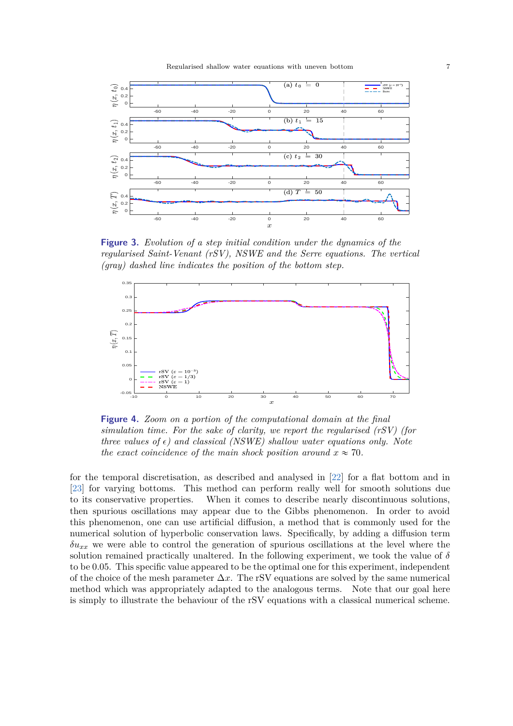<span id="page-6-2"></span><span id="page-6-0"></span>

**Figure 3.** *Evolution of a step initial condition under the dynamics of the regularised Saint-Venant (rSV), NSWE and the Serre equations. The vertical (gray) dashed line indicates the position of the bottom step.*

<span id="page-6-1"></span>

**Figure 4.** *Zoom on a portion of the computational domain at the final simulation time. For the sake of clarity, we report the regularised (rSV) (for three values of*  $\epsilon$ *) and classical (NSWE) shallow water equations only. Note the exact coincidence of the main shock position around*  $x \approx 70$ *.* 

for the temporal discretisation, as described and analysed in [\[22\]](#page-9-16) for a flat bottom and in [\[23\]](#page-9-17) for varying bottoms. This method can perform really well for smooth solutions due to its conservative properties. When it comes to describe nearly discontinuous solutions, then spurious oscillations may appear due to the Gibbs phenomenon. In order to avoid this phenomenon, one can use artificial diffusion, a method that is commonly used for the numerical solution of hyperbolic conservation laws. Specifically, by adding a diffusion term  $\delta u_{xx}$  we were able to control the generation of spurious oscillations at the level where the solution remained practically unaltered. In the following experiment, we took the value of  $\delta$ to be 0*.*05. This specific value appeared to be the optimal one for this experiment, independent of the choice of the mesh parameter ∆*x*. The rSV equations are solved by the same numerical method which was appropriately adapted to the analogous terms. Note that our goal here is simply to illustrate the behaviour of the rSV equations with a classical numerical scheme.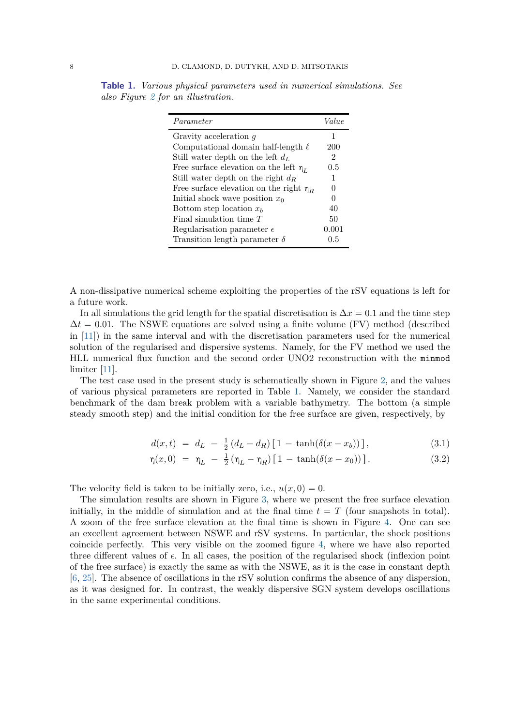| Parameter                                    | Value    |
|----------------------------------------------|----------|
| Gravity acceleration $q$                     | 1        |
| Computational domain half-length $\ell$      | 200      |
| Still water depth on the left $d_L$          | 2        |
| Free surface elevation on the left $\eta_L$  | 0.5      |
| Still water depth on the right $d_R$         | 1        |
| Free surface elevation on the right $\eta_R$ | $\Omega$ |
| Initial shock wave position $x_0$            | 0        |
| Bottom step location $x_b$                   | 40       |
| Final simulation time $T$                    | 50       |
| Regularisation parameter $\epsilon$          | 0.001    |
| Transition length parameter $\delta$         | 0.5      |

<span id="page-7-1"></span><span id="page-7-0"></span>**Table 1.** *Various physical parameters used in numerical simulations. See also Figure [2](#page-5-2) for an illustration.*

A non-dissipative numerical scheme exploiting the properties of the rSV equations is left for a future work.

In all simulations the grid length for the spatial discretisation is  $\Delta x = 0.1$  and the time step  $\Delta t = 0.01$ . The NSWE equations are solved using a finite volume (FV) method (described in [\[11](#page-9-18)]) in the same interval and with the discretisation parameters used for the numerical solution of the regularised and dispersive systems. Namely, for the FV method we used the HLL numerical flux function and the second order UNO2 reconstruction with the minmod limiter [\[11](#page-9-18)].

The test case used in the present study is schematically shown in Figure [2,](#page-5-2) and the values of various physical parameters are reported in Table [1.](#page-7-0) Namely, we consider the standard benchmark of the dam break problem with a variable bathymetry. The bottom (a simple steady smooth step) and the initial condition for the free surface are given, respectively, by

$$
d(x,t) = dL - \frac{1}{2}(dL - dR)[1 - \tanh(\delta(x - xb))], \qquad (3.1)
$$

$$
\eta(x,0) = \eta_L - \frac{1}{2} (\eta_L - \eta_R) [1 - \tanh(\delta(x - x_0))]. \tag{3.2}
$$

The velocity field is taken to be initially zero, i.e.,  $u(x, 0) = 0$ .

The simulation results are shown in Figure [3,](#page-6-0) where we present the free surface elevation initially, in the middle of simulation and at the final time  $t = T$  (four snapshots in total). A zoom of the free surface elevation at the final time is shown in Figure [4.](#page-6-1) One can see an excellent agreement between NSWE and rSV systems. In particular, the shock positions coincide perfectly. This very visible on the zoomed figure [4,](#page-6-1) where we have also reported three different values of  $\epsilon$ . In all cases, the position of the regularised shock (inflexion point of the free surface) is exactly the same as with the NSWE, as it is the case in constant depth [\[6](#page-9-6), [25](#page-9-8)]. The absence of oscillations in the rSV solution confirms the absence of any dispersion, as it was designed for. In contrast, the weakly dispersive SGN system develops oscillations in the same experimental conditions.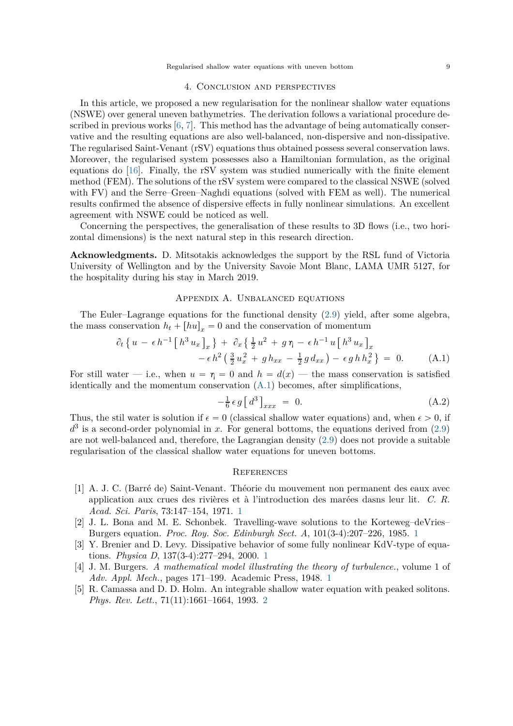## 4. Conclusion and perspectives

<span id="page-8-8"></span><span id="page-8-5"></span>In this article, we proposed a new regularisation for the nonlinear shallow water equations (NSWE) over general uneven bathymetries. The derivation follows a variational procedure described in previous works  $[6, 7]$  $[6, 7]$  $[6, 7]$ . This method has the advantage of being automatically conservative and the resulting equations are also well-balanced, non-dispersive and non-dissipative. The regularised Saint-Venant (rSV) equations thus obtained possess several conservation laws. Moreover, the regularised system possesses also a Hamiltonian formulation, as the original equations do [\[16](#page-9-19)]. Finally, the rSV system was studied numerically with the finite element method (FEM). The solutions of the rSV system were compared to the classical NSWE (solved with FV) and the Serre–Green–Naghdi equations (solved with FEM as well). The numerical results confirmed the absence of dispersive effects in fully nonlinear simulations. An excellent agreement with NSWE could be noticed as well.

Concerning the perspectives, the generalisation of these results to 3D flows (i.e., two horizontal dimensions) is the next natural step in this research direction.

**Acknowledgments.** D. Mitsotakis acknowledges the support by the RSL fund of Victoria University of Wellington and by the University Savoie Mont Blanc, LAMA UMR 5127, for the hospitality during his stay in March 2019.

# Appendix A. Unbalanced equations

<span id="page-8-6"></span>The Euler–Lagrange equations for the functional density [\(2.9\)](#page-2-5) yield, after some algebra, the mass conservation  $h_t + [hu]_r = 0$  and the conservation of momentum

$$
\partial_t \left\{ u - \epsilon h^{-1} \left[ h^3 u_x \right]_x \right\} + \partial_x \left\{ \frac{1}{2} u^2 + g \eta - \epsilon h^{-1} u \left[ h^3 u_x \right]_x - \epsilon h^2 \left( \frac{3}{2} u_x^2 + g h_{xx} - \frac{1}{2} g d_{xx} \right) - \epsilon g h h_x^2 \right\} = 0. \tag{A.1}
$$

For still water – i.e., when  $u = \eta = 0$  and  $h = d(x)$  — the mass conservation is satisfied identically and the momentum conservation [\(A.1\)](#page-8-7) becomes, after simplifications,

<span id="page-8-7"></span>
$$
-\frac{1}{6} \epsilon g \left[ d^3 \right]_{xxx} = 0. \tag{A.2}
$$

Thus, the stil water is solution if  $\epsilon = 0$  (classical shallow water equations) and, when  $\epsilon > 0$ , if  $d^3$  is a second-order polynomial in *x*. For general bottoms, the equations derived from  $(2.9)$ are not well-balanced and, therefore, the Lagrangian density [\(2.9\)](#page-2-5) does not provide a suitable regularisation of the classical shallow water equations for uneven bottoms.

## **REFERENCES**

- <span id="page-8-1"></span>[1] A. J. C. (Barré de) Saint-Venant. Théorie du mouvement non permanent des eaux avec application aux crues des rivières et à l'introduction des marées dasns leur lit. *C. R. Acad. Sci. Paris*, 73:147–154, 1971. [1](#page-0-0)
- <span id="page-8-2"></span>[2] J. L. Bona and M. E. Schonbek. Travelling-wave solutions to the Korteweg–deVries– Burgers equation. *Proc. Roy. Soc. Edinburgh Sect. A*, 101(3-4):207–226, 1985. [1](#page-0-0)
- <span id="page-8-3"></span>[3] Y. Brenier and D. Levy. Dissipative behavior of some fully nonlinear KdV-type of equations. *Physica D*, 137(3-4):277–294, 2000. [1](#page-0-0)
- <span id="page-8-0"></span>[4] J. M. Burgers. *A mathematical model illustrating the theory of turbulence.*, volume 1 of *Adv. Appl. Mech.*, pages 171–199. Academic Press, 1948. [1](#page-0-0)
- <span id="page-8-4"></span>[5] R. Camassa and D. D. Holm. An integrable shallow water equation with peaked solitons. *Phys. Rev. Lett.*, 71(11):1661–1664, 1993. [2](#page-1-2)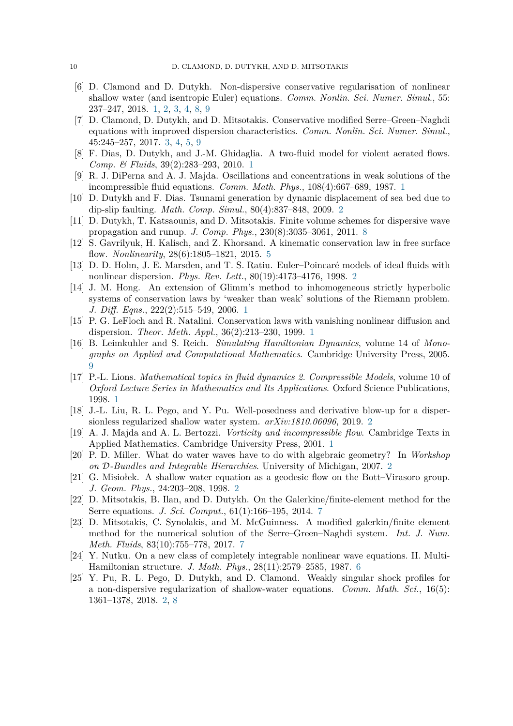- <span id="page-9-6"></span>[6] D. Clamond and D. Dutykh. Non-dispersive conservative regularisation of nonlinear shallow water (and isentropic Euler) equations. *Comm. Nonlin. Sci. Numer. Simul.*, 55: 237–247, 2018. [1,](#page-0-0) [2,](#page-1-2) [3,](#page-2-6) [4,](#page-3-3) [8,](#page-7-1) [9](#page-8-8)
- <span id="page-9-13"></span>[7] D. Clamond, D. Dutykh, and D. Mitsotakis. Conservative modified Serre–Green–Naghdi equations with improved dispersion characteristics. *Comm. Nonlin. Sci. Numer. Simul.*, 45:245–257, 2017. [3,](#page-2-6) [4,](#page-3-3) [5,](#page-4-4) [9](#page-8-8)
- <span id="page-9-2"></span>[8] F. Dias, D. Dutykh, and J.-M. Ghidaglia. A two-fluid model for violent aerated flows. *Comp. & Fluids*, 39(2):283–293, 2010. [1](#page-0-0)
- <span id="page-9-3"></span>[9] R. J. DiPerna and A. J. Majda. Oscillations and concentrations in weak solutions of the incompressible fluid equations. *Comm. Math. Phys.*, 108(4):667–689, 1987. [1](#page-0-0)
- <span id="page-9-9"></span>[10] D. Dutykh and F. Dias. Tsunami generation by dynamic displacement of sea bed due to dip-slip faulting. *Math. Comp. Simul.*, 80(4):837–848, 2009. [2](#page-1-2)
- <span id="page-9-18"></span>[11] D. Dutykh, T. Katsaounis, and D. Mitsotakis. Finite volume schemes for dispersive wave propagation and runup. *J. Comp. Phys.*, 230(8):3035–3061, 2011. [8](#page-7-1)
- <span id="page-9-14"></span>[12] S. Gavrilyuk, H. Kalisch, and Z. Khorsand. A kinematic conservation law in free surface flow. *Nonlinearity*, 28(6):1805–1821, 2015. [5](#page-4-4)
- <span id="page-9-10"></span>[13] D. D. Holm, J. E. Marsden, and T. S. Ratiu. Euler–Poincaré models of ideal fluids with nonlinear dispersion. *Phys. Rev. Lett.*, 80(19):4173–4176, 1998. [2](#page-1-2)
- <span id="page-9-4"></span>[14] J. M. Hong. An extension of Glimm's method to inhomogeneous strictly hyperbolic systems of conservation laws by 'weaker than weak' solutions of the Riemann problem. *J. Diff. Eqns.*, 222(2):515–549, 2006. [1](#page-0-0)
- <span id="page-9-5"></span>[15] P. G. LeFloch and R. Natalini. Conservation laws with vanishing nonlinear diffusion and dispersion. *Theor. Meth. Appl.*, 36(2):213–230, 1999. [1](#page-0-0)
- <span id="page-9-19"></span>[16] B. Leimkuhler and S. Reich. *Simulating Hamiltonian Dynamics*, volume 14 of *Monographs on Applied and Computational Mathematics*. Cambridge University Press, 2005. [9](#page-8-8)
- <span id="page-9-0"></span>[17] P.-L. Lions. *Mathematical topics in fluid dynamics 2. Compressible Models*, volume 10 of *Oxford Lecture Series in Mathematics and Its Applications*. Oxford Science Publications, 1998. [1](#page-0-0)
- <span id="page-9-7"></span>[18] J.-L. Liu, R. L. Pego, and Y. Pu. Well-posedness and derivative blow-up for a dispersionless regularized shallow water system. *arXiv:1810.06096*, 2019. [2](#page-1-2)
- <span id="page-9-1"></span>[19] A. J. Majda and A. L. Bertozzi. *Vorticity and incompressible flow*. Cambridge Texts in Applied Mathematics. Cambridge University Press, 2001. [1](#page-0-0)
- <span id="page-9-11"></span>[20] P. D. Miller. What do water waves have to do with algebraic geometry? In *Workshop on* D*-Bundles and Integrable Hierarchies*. University of Michigan, 2007. [2](#page-1-2)
- <span id="page-9-12"></span>[21] G. Misiołek. A shallow water equation as a geodesic flow on the Bott–Virasoro group. *J. Geom. Phys.*, 24:203–208, 1998. [2](#page-1-2)
- <span id="page-9-16"></span>[22] D. Mitsotakis, B. Ilan, and D. Dutykh. On the Galerkine/finite-element method for the Serre equations. *J. Sci. Comput.*, 61(1):166–195, 2014. [7](#page-6-2)
- <span id="page-9-17"></span>[23] D. Mitsotakis, C. Synolakis, and M. McGuinness. A modified galerkin/finite element method for the numerical solution of the Serre–Green–Naghdi system. *Int. J. Num. Meth. Fluids*, 83(10):755–778, 2017. [7](#page-6-2)
- <span id="page-9-15"></span>[24] Y. Nutku. On a new class of completely integrable nonlinear wave equations. II. Multi-Hamiltonian structure. *J. Math. Phys.*, 28(11):2579–2585, 1987. [6](#page-5-3)
- <span id="page-9-8"></span>[25] Y. Pu, R. L. Pego, D. Dutykh, and D. Clamond. Weakly singular shock profiles for a non-dispersive regularization of shallow-water equations. *Comm. Math. Sci.*, 16(5): 1361–1378, 2018. [2,](#page-1-2) [8](#page-7-1)